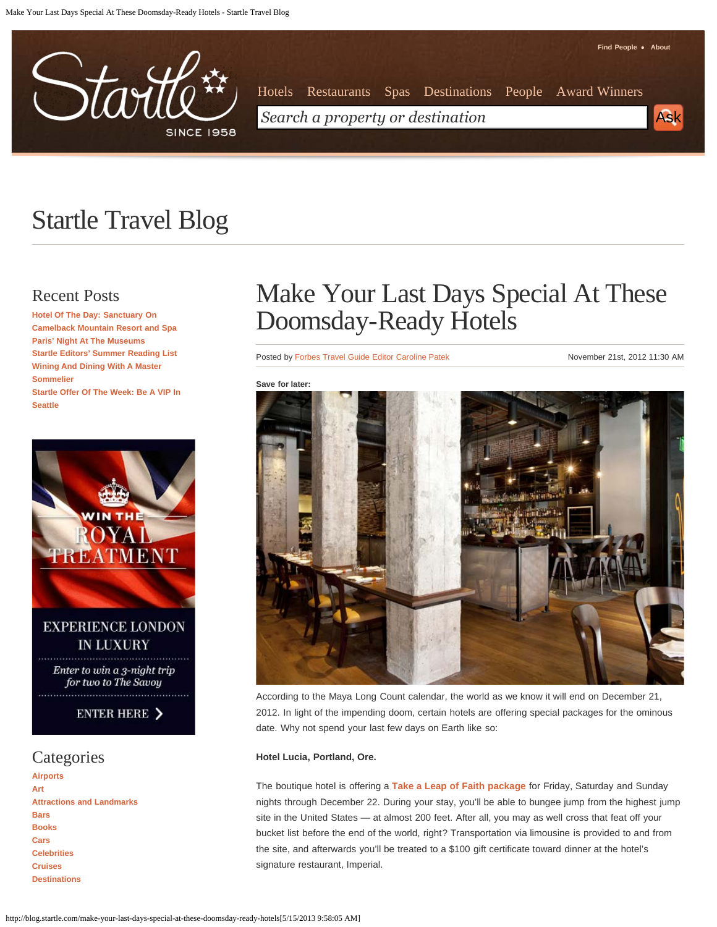Make Your Last Days Special At These Doomsday-Ready Hotels - Startle Travel Blog



**[Find People](http://www.startle.com/find-people) [About](http://www.startle.com/about/forbes-travel-guide)** [Hotels](http://www.startle.com/drilldown/business/Hotel) [Restaurants](http://www.startle.com/drilldown/business/Restaurant) [Spas](http://www.startle.com/drilldown/business/Spa) [Destinations](http://www.startle.com/drilldown/destination) [People](http://www.startle.com/find-people) [Award Winners](http://www.startle.com/about/awardwinners) *Search a property or destination* Ask Ask

# Startle Travel Blog

## Recent Posts

**[Hotel Of The Day: Sanctuary On](http://blog.startle.com/hotel-of-the-day-sanctuary-on-camelback-mountain-resort-and-spa) [Camelback Mountain Resort and Spa](http://blog.startle.com/hotel-of-the-day-sanctuary-on-camelback-mountain-resort-and-spa) [Paris' Night At The Museums](http://blog.startle.com/paris-night-at-the-museums) [Startle Editors' Summer Reading List](http://blog.startle.com/startle-editors-summer-reading-list) [Wining And Dining With A Master](http://blog.startle.com/wining-and-dining-with-a-master-sommelier) [Sommelier](http://blog.startle.com/wining-and-dining-with-a-master-sommelier) [Startle Offer Of The Week: Be A VIP In](http://blog.startle.com/startle-offer-of-the-week-be-a-vip-in-seattle) [Seattle](http://blog.startle.com/startle-offer-of-the-week-be-a-vip-in-seattle)**



**[Art](http://blog.startle.com/category/art) [Attractions and Landmarks](http://blog.startle.com/category/attractions-and-landmarks) [Bars](http://blog.startle.com/category/bars) [Books](http://blog.startle.com/category/books) [Cars](http://blog.startle.com/category/cars) [Celebrities](http://blog.startle.com/category/celebrities) [Cruises](http://blog.startle.com/category/cruises) [Destinations](http://blog.startle.com/category/destinations)**

## Make Your Last Days Special At These Doomsday-Ready Hotels

Posted by [Forbes Travel Guide Editor Caroline Patek](http://blog.startle.com/author/carolinepatek) November 21st, 2012 11:30 AM



According to the Maya Long Count calendar, the world as we know it will end on December 21, 2012. In light of the impending doom, certain hotels are offering special packages for the ominous date. Why not spend your last few days on Earth like so:

#### **Hotel Lucia, Portland, Ore.**

The boutique hotel is offering a **[Take a Leap of Faith package](http://www.hotellucia.com/leap/)** for Friday, Saturday and Sunday nights through December 22. During your stay, you'll be able to bungee jump from the highest jump site in the United States — at almost 200 feet. After all, you may as well cross that feat off your bucket list before the end of the world, right? Transportation via limousine is provided to and from the site, and afterwards you'll be treated to a \$100 gift certificate toward dinner at the hotel's signature restaurant, Imperial.